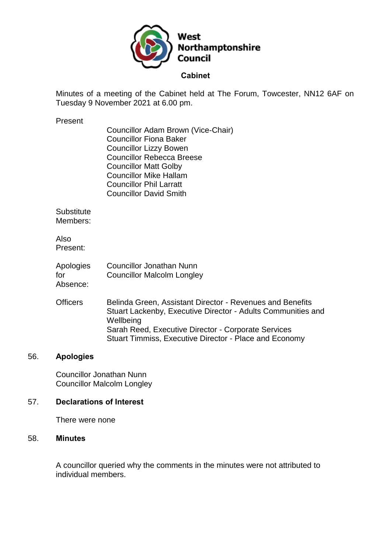

Minutes of a meeting of the Cabinet held at The Forum, Towcester, NN12 6AF on Tuesday 9 November 2021 at 6.00 pm.

#### Present

| Councillor Adam Brown (Vice-Chair) |
|------------------------------------|
| <b>Councillor Fiona Baker</b>      |
| <b>Councillor Lizzy Bowen</b>      |
| <b>Councillor Rebecca Breese</b>   |
| <b>Councillor Matt Golby</b>       |
| <b>Councillor Mike Hallam</b>      |
| <b>Councillor Phil Larratt</b>     |
| <b>Councillor David Smith</b>      |

**Substitute** Members:

Also Present:

| Apologies | <b>Councillor Jonathan Nunn</b>   |
|-----------|-----------------------------------|
| for       | <b>Councillor Malcolm Longley</b> |
| Absence:  |                                   |

Officers Belinda Green, Assistant Director - Revenues and Benefits Stuart Lackenby, Executive Director - Adults Communities and **Wellbeing** Sarah Reed, Executive Director - Corporate Services Stuart Timmiss, Executive Director - Place and Economy

### 56. **Apologies**

Councillor Jonathan Nunn Councillor Malcolm Longley

### 57. **Declarations of Interest**

There were none

#### 58. **Minutes**

A councillor queried why the comments in the minutes were not attributed to individual members.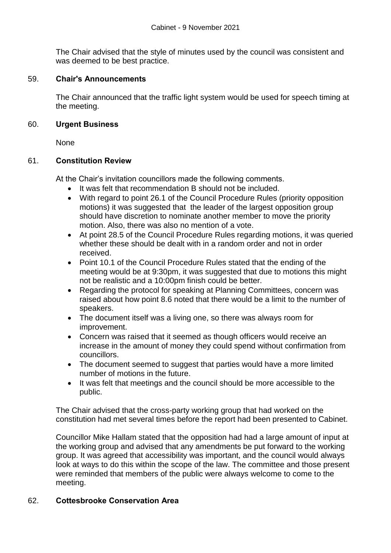The Chair advised that the style of minutes used by the council was consistent and was deemed to be best practice.

### 59. **Chair's Announcements**

The Chair announced that the traffic light system would be used for speech timing at the meeting.

### 60. **Urgent Business**

**None** 

### 61. **Constitution Review**

At the Chair's invitation councillors made the following comments.

- It was felt that recommendation B should not be included.
- With regard to point 26.1 of the Council Procedure Rules (priority opposition motions) it was suggested that the leader of the largest opposition group should have discretion to nominate another member to move the priority motion. Also, there was also no mention of a vote.
- At point 28.5 of the Council Procedure Rules regarding motions, it was queried whether these should be dealt with in a random order and not in order received.
- Point 10.1 of the Council Procedure Rules stated that the ending of the meeting would be at 9:30pm, it was suggested that due to motions this might not be realistic and a 10:00pm finish could be better.
- Regarding the protocol for speaking at Planning Committees, concern was raised about how point 8.6 noted that there would be a limit to the number of speakers.
- The document itself was a living one, so there was always room for improvement.
- Concern was raised that it seemed as though officers would receive an increase in the amount of money they could spend without confirmation from councillors.
- The document seemed to suggest that parties would have a more limited number of motions in the future.
- It was felt that meetings and the council should be more accessible to the public.

The Chair advised that the cross-party working group that had worked on the constitution had met several times before the report had been presented to Cabinet.

Councillor Mike Hallam stated that the opposition had had a large amount of input at the working group and advised that any amendments be put forward to the working group. It was agreed that accessibility was important, and the council would always look at ways to do this within the scope of the law. The committee and those present were reminded that members of the public were always welcome to come to the meeting.

# 62. **Cottesbrooke Conservation Area**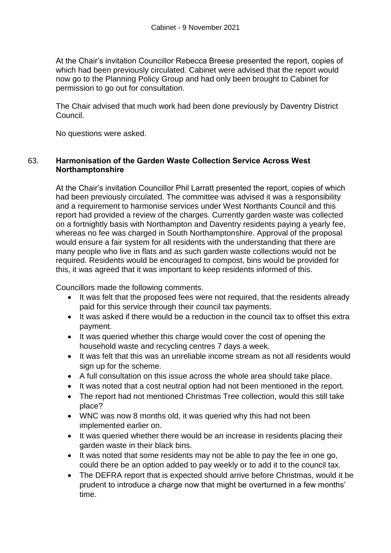At the Chair's invitation Councillor Rebecca Breese presented the report, copies of which had been previously circulated. Cabinet were advised that the report would now go to the Planning Policy Group and had only been brought to Cabinet for permission to go out for consultation.

The Chair advised that much work had been done previously by Daventry District Council.

No questions were asked.

### 63. **Harmonisation of the Garden Waste Collection Service Across West Northamptonshire**

At the Chair's invitation Councillor Phil Larratt presented the report, copies of which had been previously circulated. The committee was advised it was a responsibility and a requirement to harmonise services under West Northants Council and this report had provided a review of the charges. Currently garden waste was collected on a fortnightly basis with Northampton and Daventry residents paying a yearly fee, whereas no fee was charged in South Northamptonshire. Approval of the proposal would ensure a fair system for all residents with the understanding that there are many people who live in flats and as such garden waste collections would not be required. Residents would be encouraged to compost, bins would be provided for this, it was agreed that it was important to keep residents informed of this.

Councillors made the following comments.

- It was felt that the proposed fees were not required, that the residents already paid for this service through their council tax payments.
- It was asked if there would be a reduction in the council tax to offset this extra payment.
- It was queried whether this charge would cover the cost of opening the household waste and recycling centres 7 days a week.
- It was felt that this was an unreliable income stream as not all residents would sign up for the scheme.
- A full consultation on this issue across the whole area should take place.
- It was noted that a cost neutral option had not been mentioned in the report.
- The report had not mentioned Christmas Tree collection, would this still take place?
- WNC was now 8 months old, it was queried why this had not been implemented earlier on.
- It was queried whether there would be an increase in residents placing their garden waste in their black bins.
- It was noted that some residents may not be able to pay the fee in one go, could there be an option added to pay weekly or to add it to the council tax.
- The DEFRA report that is expected should arrive before Christmas, would it be prudent to introduce a charge now that might be overturned in a few months' time.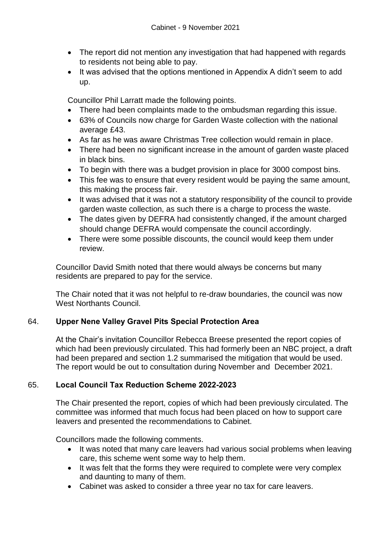- The report did not mention any investigation that had happened with regards to residents not being able to pay.
- It was advised that the options mentioned in Appendix A didn't seem to add up.

Councillor Phil Larratt made the following points.

- There had been complaints made to the ombudsman regarding this issue.
- 63% of Councils now charge for Garden Waste collection with the national average £43.
- As far as he was aware Christmas Tree collection would remain in place.
- There had been no significant increase in the amount of garden waste placed in black bins.
- To begin with there was a budget provision in place for 3000 compost bins.
- This fee was to ensure that every resident would be paying the same amount, this making the process fair.
- It was advised that it was not a statutory responsibility of the council to provide garden waste collection, as such there is a charge to process the waste.
- The dates given by DEFRA had consistently changed, if the amount charged should change DEFRA would compensate the council accordingly.
- There were some possible discounts, the council would keep them under review.

Councillor David Smith noted that there would always be concerns but many residents are prepared to pay for the service.

The Chair noted that it was not helpful to re-draw boundaries, the council was now West Northants Council.

# 64. **Upper Nene Valley Gravel Pits Special Protection Area**

At the Chair's invitation Councillor Rebecca Breese presented the report copies of which had been previously circulated. This had formerly been an NBC project, a draft had been prepared and section 1.2 summarised the mitigation that would be used. The report would be out to consultation during November and December 2021.

# 65. **Local Council Tax Reduction Scheme 2022-2023**

The Chair presented the report, copies of which had been previously circulated. The committee was informed that much focus had been placed on how to support care leavers and presented the recommendations to Cabinet.

Councillors made the following comments.

- It was noted that many care leavers had various social problems when leaving care, this scheme went some way to help them.
- It was felt that the forms they were required to complete were very complex and daunting to many of them.
- Cabinet was asked to consider a three year no tax for care leavers.